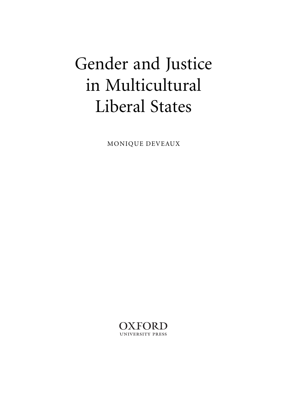# Gender and Justice in Multicultural Liberal States

MONIQUE DEVEAUX

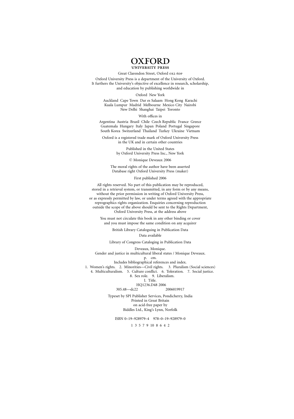

Great Clarendon Street, Oxford ox2 6DP

Oxford University Press is a department of the University of Oxford. It furthers the University's objective of excellence in research, scholarship, and education by publishing worldwide in

Oxford New York

Auckland Cape Town Dar es Salaam Hong Kong Karachi Kuala Lumpur Madrid Melbourne Mexico City Nairobi New Delhi Shanghai Taipei Toronto

With offices in

Argentina Austria Brazil Chile Czech Republic France Greece Guatemala Hungary Italy Japan Poland Portugal Singapore South Korea Switzerland Thailand Turkey Ukraine Vietnam

Oxford is a registered trade mark of Oxford University Press in the UK and in certain other countries

Published in the United States

by Oxford University Press Inc., New York

Monique Deveaux 2006

The moral rights of the author have been asserted Database right Oxford University Press (maker)

First published 2006

All rights reserved. No part of this publication may be reproduced, stored in a retrieval system, or transmitted, in any form or by any means, without the prior permission in writing of Oxford University Press, or as expressly permitted by law, or under terms agreed with the appropriate reprographics rights organization. Enquiries concerning reproduction outside the scope of the above should be sent to the Rights Department, Oxford University Press, at the address above

You must not circulate this book in any other binding or cover and you must impose the same condition on any acquirer

British Library Cataloguing in Publication Data

Data available

Library of Congress Cataloging in Publication Data

Deveaux, Monique. Gender and justice in multicultural liberal states / Monique Deveaux.

p. cm.

Includes bibliographical references and index.

1. Women's rights. 2. Minorities—Civil rights. 3. Pluralism (Social sciences)

4. Multiculturalism. 5. Culture conflict. 6. Toleration. 7. Social justice.

8. Sex role. 9. Liberalism. I. Title.

HQ1236.D48 2006<br>2006019917 305.48-dc22

Typeset by SPI Publisher Services, Pondicherry, India Printed in Great Britain on acid-free paper by Biddles Ltd., King's Lynn, Norfolk

ISBN 0–19–928979–4 978–0–19–928979–0

1 3 5 7 9 10 8 6 4 2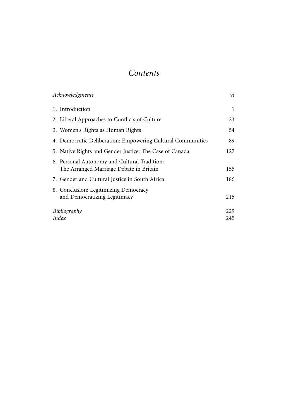# Contents

| Acknowledgments                                                                         | vi  |
|-----------------------------------------------------------------------------------------|-----|
| 1. Introduction                                                                         | 1   |
| 2. Liberal Approaches to Conflicts of Culture                                           | 23  |
| 3. Women's Rights as Human Rights                                                       | 54  |
| 4. Democratic Deliberation: Empowering Cultural Communities                             | 89  |
| 5. Native Rights and Gender Justice: The Case of Canada                                 | 127 |
| 6. Personal Autonomy and Cultural Tradition:<br>The Arranged Marriage Debate in Britain | 155 |
| 7. Gender and Cultural Justice in South Africa                                          | 186 |
| 8. Conclusion: Legitimizing Democracy<br>and Democratizing Legitimacy                   | 215 |
| Bibliography                                                                            | 229 |
| Index                                                                                   | 245 |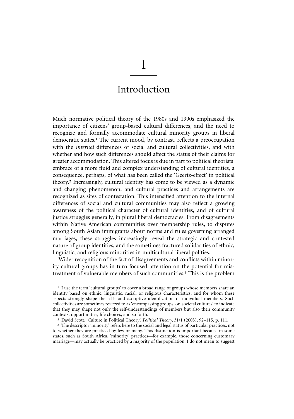1

# Introduction

Much normative political theory of the 1980s and 1990s emphasized the importance of citizens' group-based cultural differences, and the need to recognize and formally accommodate cultural minority groups in liberal democratic states.<sup>1</sup> The current mood, by contrast, reflects a preoccupation with the *internal* differences of social and cultural collectivities, and with whether and how such differences should affect the status of their claims for greater accommodation. This altered focus is due in part to political theorists' embrace of a more fluid and complex understanding of cultural identities, a consequence, perhaps, of what has been called the 'Geertz-effect' in political theory.2 Increasingly, cultural identity has come to be viewed as a dynamic and changing phenomenon, and cultural practices and arrangements are recognized as sites of contestation. This intensified attention to the internal differences of social and cultural communities may also reflect a growing awareness of the political character of cultural identities, and of cultural justice struggles generally, in plural liberal democracies. From disagreements within Native American communities over membership rules, to disputes among South Asian immigrants about norms and rules governing arranged marriages, these struggles increasingly reveal the strategic and contested nature of group identities, and the sometimes fractured solidarities of ethnic, linguistic, and religious minorities in multicultural liberal polities.

Wider recognition of the fact of disagreements and conflicts within minority cultural groups has in turn focused attention on the potential for mistreatment of vulnerable members of such communities.<sup>3</sup> This is the problem

<sup>1</sup> I use the term 'cultural groups' to cover a broad range of groups whose members share an identity based on ethnic, linguistic, racial, or religious characteristics, and for whom these aspects strongly shape the self- and ascriptive identification of individual members. Such collectivities are sometimes referred to as 'encompassing groups' or 'societal cultures' to indicate that they may shape not only the self-understandings of members but also their community contexts, opportunities, life choices, and so forth.

2 David Scott, 'Culture in Political Theory', Political Theory, 31/1 (2003), 92–115, p. 111.

<sup>3</sup> The descriptor 'minority' refers here to the social and legal status of particular practices, not to whether they are practiced by few or many. This distinction is important because in some states, such as South Africa, 'minority' practices—for example, those concerning customary marriage—may actually be practiced by a majority of the population. I do not mean to suggest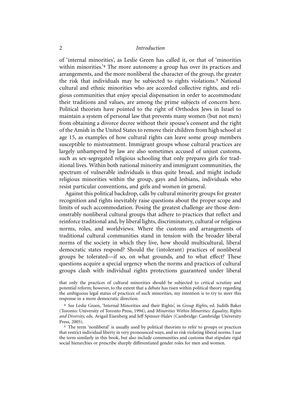of 'internal minorities', as Leslie Green has called it, or that of 'minorities within minorities.'4 The more autonomy a group has over its practices and arrangements, and the more nonliberal the character of the group, the greater the risk that individuals may be subjected to rights violations.<sup>5</sup> National cultural and ethnic minorities who are accorded collective rights, and religious communities that enjoy special dispensation in order to accommodate their traditions and values, are among the prime subjects of concern here. Political theorists have pointed to the right of Orthodox Jews in Israel to maintain a system of personal law that prevents many women (but not men) from obtaining a divorce decree without their spouse's consent and the right of the Amish in the United States to remove their children from high school at age 15, as examples of how cultural rights can leave some group members susceptible to mistreatment. Immigrant groups whose cultural practices are largely unhampered by law are also sometimes accused of unjust customs, such as sex-segregated religious schooling that only prepares girls for traditional lives. Within both national minority and immigrant communities, the spectrum of vulnerable individuals is thus quite broad, and might include religious minorities within the group, gays and lesbians, individuals who resist particular conventions, and girls and women in general.

Against this political backdrop, calls by cultural minority groups for greater recognition and rights inevitably raise questions about the proper scope and limits of such accommodation. Posing the greatest challenge are those demonstrably nonliberal cultural groups that adhere to practices that reflect and reinforce traditional and, by liberal lights, discriminatory, cultural or religious norms, roles, and worldviews. Where the customs and arrangements of traditional cultural communities stand in tension with the broader liberal norms of the society in which they live, how should multicultural, liberal democratic states respond? Should the (intolerant) practices of nonliberal groups be tolerated—if so, on what grounds, and to what effect? These questions acquire a special urgency when the norms and practices of cultural groups clash with individual rights protections guaranteed under liberal

that only the practices of cultural minorities should be subjected to critical scrutiny and potential reform; however, to the extent that a debate has risen within political theory regarding the ambiguous legal status of practices of such minorities, my intention is to try to steer this response in a more democratic direction.

<sup>4</sup> See Leslie Green, 'Internal Minorities and their Rights', in Group Rights, ed. Judith Baker (Toronto: University of Toronto Press, 1994), and Minorities Within Minorities: Equality, Rights and Diversity, eds. Avigail Eisenberg and Jeff Spinner-Halev (Cambridge: Cambridge University Press, 2005).

<sup>5</sup> The term 'nonliberal' is usually used by political theorists to refer to groups or practices that restrict individual liberty in very pronounced ways, and so risk violating liberal norms. I use the term similarly in this book, but also include communities and customs that stipulate rigid social hierarchies or prescribe sharply differentiated gender roles for men and women.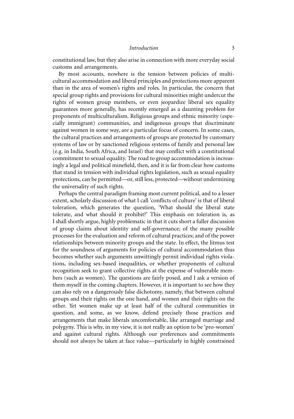constitutional law, but they also arise in connection with more everyday social customs and arrangements.

By most accounts, nowhere is the tension between policies of multicultural accommodation and liberal principles and protections more apparent than in the area of women's rights and roles. In particular, the concern that special group rights and provisions for cultural minorities might undercut the rights of women group members, or even jeopardize liberal sex equality guarantees more generally, has recently emerged as a daunting problem for proponents of multiculturalism. Religious groups and ethnic minority (especially immigrant) communities, and indigenous groups that discriminate against women in some way, are a particular focus of concern. In some cases, the cultural practices and arrangements of groups are protected by customary systems of law or by sanctioned religious systems of family and personal law (e.g. in India, South Africa, and Israel) that may conflict with a constitutional commitment to sexual equality. The road to group accommodation is increasingly a legal and political minefield, then, and it is far from clear how customs that stand in tension with individual rights legislation, such as sexual equality protections, can be permitted—or, still less, protected—without undermining the universality of such rights.

Perhaps the central paradigm framing most current political, and to a lesser extent, scholarly discussion of what I call 'conflicts of culture' is that of liberal toleration, which generates the question, 'What should the liberal state tolerate, and what should it prohibit?' This emphasis on toleration is, as I shall shortly argue, highly problematic in that it cuts short a fuller discussion of group claims about identity and self-governance; of the many possible processes for the evaluation and reform of cultural practices; and of the power relationships between minority groups and the state. In effect, the litmus test for the soundness of arguments for policies of cultural accommodation thus becomes whether such arguments unwittingly permit individual rights violations, including sex-based inequalities, or whether proponents of cultural recognition seek to grant collective rights at the expense of vulnerable members (such as women). The questions are fairly posed, and I ask a version of them myself in the coming chapters. However, it is important to see how they can also rely on a dangerously false dichotomy, namely, that between cultural groups and their rights on the one hand, and women and their rights on the other. Yet women make up at least half of the cultural communities in question, and some, as we know, defend precisely those practices and arrangements that make liberals uncomfortable, like arranged marriage and polygyny. This is why, in my view, it is not really an option to be 'pro-women' and against cultural rights. Although our preferences and commitments should not always be taken at face value—particularly in highly constrained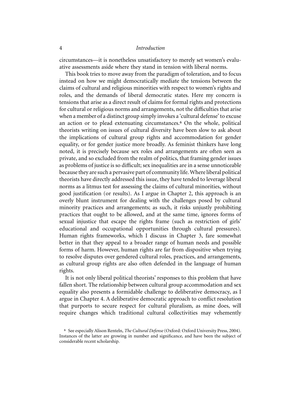circumstances—it is nonetheless unsatisfactory to merely set women's evaluative assessments aside where they stand in tension with liberal norms.

This book tries to move away from the paradigm of toleration, and to focus instead on how we might democratically mediate the tensions between the claims of cultural and religious minorities with respect to women's rights and roles, and the demands of liberal democratic states. Here my concern is tensions that arise as a direct result of claims for formal rights and protections for cultural or religious norms and arrangements, not the difficulties that arise when a member of a distinct group simply invokes a 'cultural defense' to excuse an action or to plead extenuating circumstances.6 On the whole, political theorists writing on issues of cultural diversity have been slow to ask about the implications of cultural group rights and accommodation for gender equality, or for gender justice more broadly. As feminist thinkers have long noted, it is precisely because sex roles and arrangements are often seen as private, and so excluded from the realm of politics, that framing gender issues as problems of justice is so difficult; sex inequalities are in a sense unnoticeable because they are such a pervasive part of community life. Where liberal political theorists have directly addressed this issue, they have tended to leverage liberal norms as a litmus test for assessing the claims of cultural minorities, without good justification (or results). As I argue in Chapter 2, this approach is an overly blunt instrument for dealing with the challenges posed by cultural minority practices and arrangements; as such, it risks unjustly prohibiting practices that ought to be allowed, and at the same time, ignores forms of sexual injustice that escape the rights frame (such as restriction of girls' educational and occupational opportunities through cultural pressures). Human rights frameworks, which I discuss in Chapter 3, fare somewhat better in that they appeal to a broader range of human needs and possible forms of harm. However, human rights are far from dispositive when trying to resolve disputes over gendered cultural roles, practices, and arrangements, as cultural group rights are also often defended in the language of human rights.

It is not only liberal political theorists' responses to this problem that have fallen short. The relationship between cultural group accommodation and sex equality also presents a formidable challenge to deliberative democracy, as I argue in Chapter 4. A deliberative democratic approach to conflict resolution that purports to secure respect for cultural pluralism, as mine does, will require changes which traditional cultural collectivities may vehemently

<sup>6</sup> See especially Alison Renteln, The Cultural Defense (Oxford: Oxford University Press, 2004). Instances of the latter are growing in number and significance, and have been the subject of considerable recent scholarship.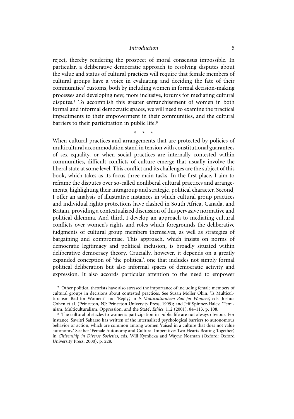reject, thereby rendering the prospect of moral consensus impossible. In particular, a deliberative democratic approach to resolving disputes about the value and status of cultural practices will require that female members of cultural groups have a voice in evaluating and deciding the fate of their communities' customs, both by including women in formal decision-making processes and developing new, more inclusive, forums for mediating cultural disputes.7 To accomplish this greater enfranchisement of women in both formal and informal democratic spaces, we will need to examine the practical impediments to their empowerment in their communities, and the cultural barriers to their participation in public life.<sup>8</sup>

\*\*\*

When cultural practices and arrangements that are protected by policies of multicultural accommodation stand in tension with constitutional guarantees of sex equality, or when social practices are internally contested within communities, difficult conflicts of culture emerge that usually involve the liberal state at some level. This conflict and its challenges are the subject of this book, which takes as its focus three main tasks. In the first place, I aim to reframe the disputes over so-called nonliberal cultural practices and arrangements, highlighting their intragroup and strategic, political character. Second, I offer an analysis of illustrative instances in which cultural group practices and individual rights protections have clashed in South Africa, Canada, and Britain, providing a contextualized discussion of this pervasive normative and political dilemma. And third, I develop an approach to mediating cultural conflicts over women's rights and roles which foregrounds the deliberative judgments of cultural group members themselves, as well as strategies of bargaining and compromise. This approach, which insists on norms of democratic legitimacy and political inclusion, is broadly situated within deliberative democracy theory. Crucially, however, it depends on a greatly expanded conception of 'the political', one that includes not simply formal political deliberation but also informal spaces of democratic activity and expression. It also accords particular attention to the need to empower

<sup>7</sup> Other political theorists have also stressed the importance of including female members of cultural groups in decisions about contested practices. See Susan Moller Okin, 'Is Multiculturalism Bad for Women?' and 'Reply', in Is Multiculturalism Bad for Women?, eds. Joshua Cohen et al. (Princeton, NJ: Princeton University Press, 1999); and Jeff Spinner-Halev, 'Feminism, Multiculturalism, Oppression, and the State', Ethics, 112 (2001), 84–113, p. 108.

<sup>8</sup> The cultural obstacles to women's participation in public life are not always obvious. For instance, Sawitri Saharso has written of the internalized psychological barriers to autonomous behavior or action, which are common among women 'raised in a culture that does not value autonomy.' See her 'Female Autonomy and Cultural Imperative: Two Hearts Beating Together', in Citizenship in Diverse Societies, eds. Will Kymlicka and Wayne Norman (Oxford: Oxford University Press, 2000), p. 228.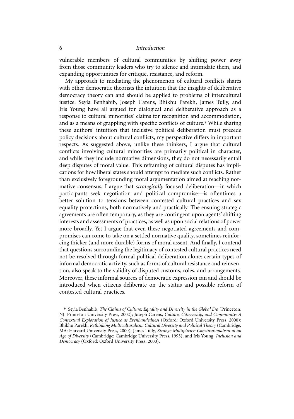vulnerable members of cultural communities by shifting power away from those community leaders who try to silence and intimidate them, and expanding opportunities for critique, resistance, and reform.

My approach to mediating the phenomenon of cultural conflicts shares with other democratic theorists the intuition that the insights of deliberative democracy theory can and should be applied to problems of intercultural justice. Seyla Benhabib, Joseph Carens, Bhikhu Parekh, James Tully, and Iris Young have all argued for dialogical and deliberative approach as a response to cultural minorities' claims for recognition and accommodation, and as a means of grappling with specific conflicts of culture.<sup>9</sup> While sharing these authors' intuition that inclusive political deliberation must precede policy decisions about cultural conflicts, my perspective differs in important respects. As suggested above, unlike these thinkers, I argue that cultural conflicts involving cultural minorities are primarily political in character, and while they include normative dimensions, they do not necessarily entail deep disputes of moral value. This reframing of cultural disputes has implications for how liberal states should attempt to mediate such conflicts. Rather than exclusively foregrounding moral argumentation aimed at reaching normative consensus, I argue that strategically focused deliberation—in which participants seek negotiation and political compromise—is oftentimes a better solution to tensions between contested cultural practices and sex equality protections, both normatively and practically. The ensuing strategic agreements are often temporary, as they are contingent upon agents' shifting interests and assessments of practices, as well as upon social relations of power more broadly. Yet I argue that even these negotiated agreements and compromises can come to take on a settled normative quality, sometimes reinforcing thicker (and more durable) forms of moral assent. And finally, I contend that questions surrounding the legitimacy of contested cultural practices need not be resolved through formal political deliberation alone: certain types of informal democratic activity, such as forms of cultural resistance and reinvention, also speak to the validity of disputed customs, roles, and arrangements. Moreover, these informal sources of democratic expression can and should be introduced when citizens deliberate on the status and possible reform of contested cultural practices.

<sup>9</sup> Seyla Benhabib, The Claims of Culture: Equality and Diversity in the Global Era (Princeton, NJ: Princeton University Press, 2002); Joseph Carens, Culture, Citizenship, and Community: A Contextual Exploration of Justice as Evenhandedness (Oxford: Oxford University Press, 2000); Bhikhu Parekh, Rethinking Multiculturalism: Cultural Diversity and Political Theory (Cambridge, MA: Harvard University Press, 2000); James Tully, Strange Multiplicity: Constitutionalism in an Age of Diversity (Cambridge: Cambridge University Press, 1995); and Iris Young, Inclusion and Democracy (Oxford: Oxford University Press, 2000).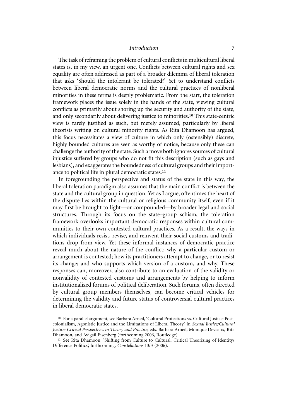The task of reframing the problem of cultural conflicts in multicultural liberal states is, in my view, an urgent one. Conflicts between cultural rights and sex equality are often addressed as part of a broader dilemma of liberal toleration that asks 'Should the intolerant be tolerated?' Yet to understand conflicts between liberal democratic norms and the cultural practices of nonliberal minorities in these terms is deeply problematic. From the start, the toleration framework places the issue solely in the hands of the state, viewing cultural conflicts as primarily about shoring up the security and authority of the state, and only secondarily about delivering justice to minorities.10 This state-centric view is rarely justified as such, but merely assumed, particularly by liberal theorists writing on cultural minority rights. As Rita Dhamoon has argued, this focus necessitates a view of culture in which only (ostensibly) discrete, highly bounded cultures are seen as worthy of notice, because only these can challenge the authority of the state. Such a move both ignores sources of cultural injustice suffered by groups who do not fit this description (such as gays and lesbians), and exaggerates the boundedness of cultural groups and their importance to political life in plural democratic states.<sup>11</sup>

In foregrounding the perspective and status of the state in this way, the liberal toleration paradigm also assumes that the main conflict is between the state and the cultural group in question. Yet as I argue, oftentimes the heart of the dispute lies within the cultural or religious community itself, even if it may first be brought to light—or compounded—by broader legal and social structures. Through its focus on the state–group schism, the toleration framework overlooks important democratic responses within cultural communities to their own contested cultural practices. As a result, the ways in which individuals resist, revise, and reinvent their social customs and traditions drop from view. Yet these informal instances of democratic practice reveal much about the nature of the conflict: why a particular custom or arrangement is contested; how its practitioners attempt to change, or to resist its change; and who supports which version of a custom, and why. These responses can, moreover, also contribute to an evaluation of the validity or nonvalidity of contested customs and arrangements by helping to inform institutionalized forums of political deliberation. Such forums, often directed by cultural group members themselves, can become critical vehicles for determining the validity and future status of controversial cultural practices in liberal democratic states.

<sup>10</sup> For a parallel argument, see Barbara Arneil, 'Cultural Protections vs. Cultural Justice: Postcolonialism, Agonistic Justice and the Limitations of Liberal Theory', in Sexual Justice/Cultural Justice: Critical Perspectives in Theory and Practice, eds. Barbara Arneil, Monique Deveaux, Rita Dhamoon, and Avigail Eisenberg (forthcoming 2006, Routledge).

<sup>11</sup> See Rita Dhamoon, 'Shifting from Culture to Cultural: Critical Theorizing of Identity/ Difference Politics', forthcoming, Constellations 13/3 (2006).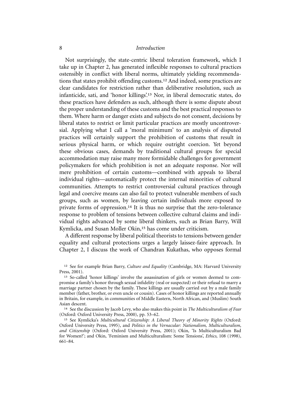Not surprisingly, the state-centric liberal toleration framework, which I take up in Chapter 2, has generated inflexible responses to cultural practices ostensibly in conflict with liberal norms, ultimately vielding recommendations that states prohibit offending customs.<sup>12</sup> And indeed, some practices are clear candidates for restriction rather than deliberative resolution, such as infanticide, sati, and 'honor killings'.13 Nor, in liberal democratic states, do these practices have defenders as such, although there is some dispute about the proper understanding of these customs and the best practical responses to them. Where harm or danger exists and subjects do not consent, decisions by liberal states to restrict or limit particular practices are mostly uncontroversial. Applying what I call a 'moral minimum' to an analysis of disputed practices will certainly support the prohibition of customs that result in serious physical harm, or which require outright coercion. Yet beyond these obvious cases, demands by traditional cultural groups for special accommodation may raise many more formidable challenges for government policymakers for which prohibition is not an adequate response. Nor will mere prohibition of certain customs—combined with appeals to liberal individual rights—automatically protect the internal minorities of cultural communities. Attempts to restrict controversial cultural practices through legal and coercive means can also fail to protect vulnerable members of such groups, such as women, by leaving certain individuals more exposed to private forms of oppression.14 It is thus no surprise that the zero-tolerance response to problem of tensions between collective cultural claims and individual rights advanced by some liberal thinkers, such as Brian Barry, Will Kymlicka, and Susan Moller Okin,15 has come under criticism.

A different response by liberal political theorists to tensions between gender equality and cultural protections urges a largely laissez-faire approach. In Chapter 2, I discuss the work of Chandran Kukathas, who opposes formal

<sup>12</sup> See for example Brian Barry, Culture and Equality (Cambridge, MA: Harvard University Press, 2001).

<sup>13</sup> So-called 'honor killings' involve the assassination of girls or women deemed to compromise a family's honor through sexual infidelity (real or suspected) or their refusal to marry a marriage partner chosen by the family. These killings are usually carried out by a male family member (father, brother, or even uncle or cousin). Cases of honor killings are reported annually in Britain, for example, in communities of Middle Eastern, North African, and (Muslim) South Asian descent.

<sup>14</sup> See the discussion by Jacob Levy, who also makes this point in The Multiculturalism of Fear (Oxford: Oxford University Press, 2000), pp. 53–62.

15 See Kymlicka's Multicultural Citizenship: A Liberal Theory of Minority Rights (Oxford: Oxford University Press, 1995), and Politics in the Vernacular: Nationalism, Multiculturalism, and Citizenship (Oxford: Oxford University Press, 2001); Okin, 'Is Multiculturalism Bad for Women?'; and Okin, 'Feminism and Multiculturalism: Some Tensions', Ethics, 108 (1998), 661–84.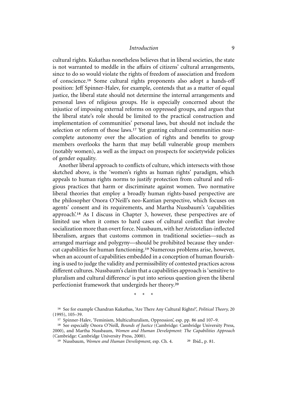cultural rights. Kukathas nonetheless believes that in liberal societies, the state is not warranted to meddle in the affairs of citizens' cultural arrangements, since to do so would violate the rights of freedom of association and freedom of conscience.<sup>16</sup> Some cultural rights proponents also adopt a hands-off position: Jeff Spinner-Halev, for example, contends that as a matter of equal justice, the liberal state should not determine the internal arrangements and personal laws of religious groups. He is especially concerned about the injustice of imposing external reforms on oppressed groups, and argues that the liberal state's role should be limited to the practical construction and implementation of communities' personal laws, but should not include the selection or reform of those laws.<sup>17</sup> Yet granting cultural communities nearcomplete autonomy over the allocation of rights and benefits to group members overlooks the harm that may befall vulnerable group members (notably women), as well as the impact on prospects for societywide policies of gender equality.

Another liberal approach to conflicts of culture, which intersects with those sketched above, is the 'women's rights as human rights' paradigm, which appeals to human rights norms to justify protection from cultural and religious practices that harm or discriminate against women. Two normative liberal theories that employ a broadly human rights-based perspective are the philosopher Onora O'Neill's neo-Kantian perspective, which focuses on agents' consent and its requirements, and Martha Nussbaum's 'capabilities approach'.18 As I discuss in Chapter 3, however, these perspectives are of limited use when it comes to hard cases of cultural conflict that involve socialization more than overt force. Nussbaum, with her Aristotelian-inflected liberalism, argues that customs common in traditional societies—such as arranged marriage and polygyny—should be prohibited because they undercut capabilities for human functioning.19 Numerous problems arise, however, when an account of capabilities embedded in a conception of human flourishing is used to judge the validity and permissibility of contested practices across different cultures. Nussbaum's claim that a capabilities approach is 'sensitive to pluralism and cultural difference' is put into serious question given the liberal perfectionist framework that undergirds her theory.20

\*\*\*

<sup>16</sup> See for example Chandran Kukathas, 'Are There Any Cultural Rights?', Political Theory, 20 (1995), 105–39.

<sup>17</sup> Spinner-Halev, 'Feminism, Multiculturalism, Oppression', esp. pp. 86 and 107–9.

<sup>&</sup>lt;sup>18</sup> See especially Onora O'Neill, *Bounds of Justice* (Cambridge: Cambridge University Press, 2000), and Martha Nussbaum, Women and Human Development: The Capabilities Approach (Cambridge: Cambridge University Press, 2000).

<sup>&</sup>lt;sup>19</sup> Nussbaum, Women and Human Development, esp. Ch. 4. <sup>20</sup> Ibid., p. 81.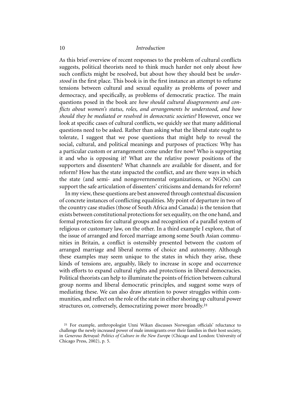As this brief overview of recent responses to the problem of cultural conflicts suggests, political theorists need to think much harder not only about how such conflicts might be resolved, but about how they should best be *under*stood in the first place. This book is in the first instance an attempt to reframe tensions between cultural and sexual equality as problems of power and democracy, and specifically, as problems of democratic practice. The main questions posed in the book are how should cultural disagreements and conflicts about women's status, roles, and arrangements be understood, and how should they be mediated or resolved in democratic societies? However, once we look at specific cases of cultural conflicts, we quickly see that many additional questions need to be asked. Rather than asking what the liberal state ought to tolerate, I suggest that we pose questions that might help to reveal the social, cultural, and political meanings and purposes of practices: Why has a particular custom or arrangement come under fire now? Who is supporting it and who is opposing it? What are the relative power positions of the supporters and dissenters? What channels are available for dissent, and for reform? How has the state impacted the conflict, and are there ways in which the state (and semi- and nongovernmental organizations, or NGOs) can support the safe articulation of dissenters' criticisms and demands for reform?

In my view, these questions are best answered through contextual discussion of concrete instances of conflicting equalities. My point of departure in two of the country case studies (those of South Africa and Canada) is the tension that exists between constitutional protections for sex equality, on the one hand, and formal protections for cultural groups and recognition of a parallel system of religious or customary law, on the other. In a third example I explore, that of the issue of arranged and forced marriage among some South Asian communities in Britain, a conflict is ostensibly presented between the custom of arranged marriage and liberal norms of choice and autonomy. Although these examples may seem unique to the states in which they arise, these kinds of tensions are, arguably, likely to increase in scope and occurrence with efforts to expand cultural rights and protections in liberal democracies. Political theorists can help to illuminate the points of friction between cultural group norms and liberal democratic principles, and suggest some ways of mediating these. We can also draw attention to power struggles within communities, and reflect on the role of the state in either shoring up cultural power structures or, conversely, democratizing power more broadly.21

<sup>&</sup>lt;sup>21</sup> For example, anthropologist Unni Wikan discusses Norwegian officials' reluctance to challenge the newly increased power of male immigrants over their families in their host society, in Generous Betrayal: Politics of Culture in the New Europe (Chicago and London: University of Chicago Press, 2002), p. 5.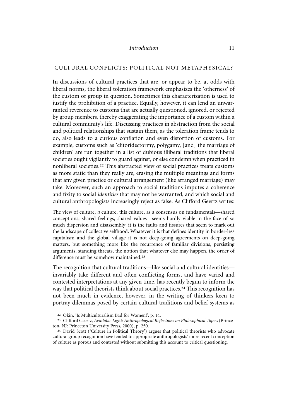# CULTURAL CONFLICTS: POLITICAL NOT METAPHYSICAL?

In discussions of cultural practices that are, or appear to be, at odds with liberal norms, the liberal toleration framework emphasizes the 'otherness' of the custom or group in question. Sometimes this characterization is used to justify the prohibition of a practice. Equally, however, it can lend an unwarranted reverence to customs that are actually questioned, ignored, or rejected by group members, thereby exaggerating the importance of a custom within a cultural community's life. Discussing practices in abstraction from the social and political relationships that sustain them, as the toleration frame tends to do, also leads to a curious conflation and even distortion of customs. For example, customs such as 'clitoridectormy, polygamy, [and] the marriage of children' are run together in a list of dubious illiberal traditions that liberal societies ought vigilantly to guard against, or else condemn when practiced in nonliberal societies.22 This abstracted view of social practices treats customs as more static than they really are, erasing the multiple meanings and forms that any given practice or cultural arrangement (like arranged marriage) may take. Moreover, such an approach to social traditions imputes a coherence and fixity to social *identities* that may not be warranted, and which social and cultural anthropologists increasingly reject as false. As Clifford Geertz writes:

The view of culture, a culture, this culture, as a consensus on fundamentals—shared conceptions, shared feelings, shared values—seems hardly viable in the face of so much dispersion and disassembly; it is the faults and fissures that seem to mark out the landscape of collective selfhood. Whatever it is that defines identity in border-less capitalism and the global village it is not deep-going agreements on deep-going matters, but something more like the recurrence of familiar divisions, persisting arguments, standing threats, the notion that whatever else may happen, the order of difference must be somehow maintained.<sup>23</sup>

The recognition that cultural traditions—like social and cultural identities invariably take different and often conflicting forms, and have varied and contested interpretations at any given time, has recently begun to inform the way that political theorists think about social practices.<sup>24</sup> This recognition has not been much in evidence, however, in the writing of thinkers keen to portray dilemmas posed by certain cultural traditions and belief systems as

<sup>22</sup> Okin, 'Is Multiculturalism Bad for Women?', p. 14.

<sup>&</sup>lt;sup>23</sup> Clifford Geertz, Available Light: Anthropological Reflections on Philosophical Topics (Princeton, NJ: Princeton University Press, 2000), p. 250.

<sup>&</sup>lt;sup>24</sup> David Scott ('Culture in Political Theory') argues that political theorists who advocate cultural group recognition have tended to appropriate anthropologists' more recent conception of culture as porous and contested without submitting this account to critical questioning.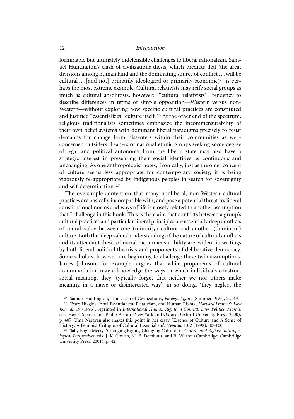formidable but ultimately indefensible challenges to liberal rationalism. Samuel Huntington's clash of civilizations thesis, which predicts that 'the great divisions among human kind and the dominating source of conflict  $\ldots$  will be cultural  $\ldots$  [and not] primarily ideological or primarily economic',<sup>25</sup> is perhaps the most extreme example. Cultural relativists may reify social groups as much as cultural absolutists, however: "cultural relativists"' tendency to describe differences in terms of simple opposition—Western versus non-Western—without exploring how specific cultural practices are constituted and justified "essentializes" culture itself.'26 At the other end of the spectrum, religious traditionalists sometimes emphasize the incommensurability of their own belief systems with dominant liberal paradigms precisely to resist demands for change from dissenters within their communities as wellconcerned outsiders. Leaders of national ethnic groups seeking some degree of legal and political autonomy from the liberal state may also have a strategic interest in presenting their social identities as continuous and unchanging. As one anthropologist notes, 'Ironically, just as the older concept of culture seems less appropriate for contemporary society, it is being vigorously re-appropriated by indigenous peoples in search for sovereignty and self-determination.'27

The oversimple contention that many nonliberal, non-Western cultural practices are basically incompatible with, and pose a potential threat to, liberal constitutional norms and ways of life is closely related to another assumption that I challenge in this book. This is the claim that conflicts between a group's cultural practices and particular liberal principles are essentially deep conflicts of moral value between one (minority) culture and another (dominant) culture. Both the 'deep values' understanding of the nature of cultural conflicts and its attendant thesis of moral incommensurability are evident in writings by both liberal political theorists and proponents of deliberative democracy. Some scholars, however, are beginning to challenge these twin assumptions. James Johnson, for example, argues that while proponents of cultural accommodation may acknowledge the ways in which individuals construct social meaning, they 'typically forget that neither we nor others make meaning in a naive or disinterested way'; in so doing, 'they neglect the

<sup>&</sup>lt;sup>25</sup> Samuel Huntington, 'The Clash of Civilizations', *Foreign Affairs* (Summer 1993), 22–49.

<sup>26</sup> Tracy Higgins, 'Anti-Essentialism, Relativism, and Human Rights', Harvard Women's Law Journal, 19 (1996), reprinted in International Human Rights in Context: Law, Politics, Morals, eds. Henry Steiner and Philip Alston (New York and Oxford: Oxford University Press, 2000), p. 407. Uma Narayan also makes this point in her essay, 'Essence of Culture and A Sense of History: A Feminist Critique, of Cultural Essentialism', Hypatia, 13/2 (1998), 80-100.

<sup>27</sup> Sally Engle Merry, 'Changing Rights, Changing Culture', in Culture and Rights: Anthropological Perspectives, eds. J. K. Cowan, M. B. Dembour, and R. Wilson (Cambridge: Cambridge University Press, 2001), p. 42.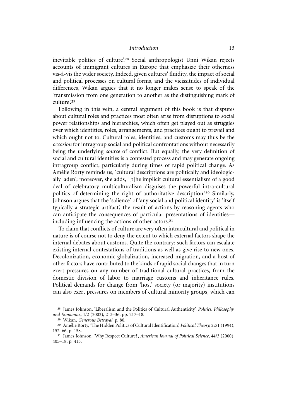inevitable politics of culture'.<sup>28</sup> Social anthropologist Unni Wikan rejects accounts of immigrant cultures in Europe that emphasize their otherness vis-a`-vis the wider society. Indeed, given cultures' Xuidity, the impact of social and political processes on cultural forms, and the vicissitudes of individual differences, Wikan argues that it no longer makes sense to speak of the 'transmission from one generation to another as the distinguishing mark of culture'.29

Following in this vein, a central argument of this book is that disputes about cultural roles and practices most often arise from disruptions to social power relationships and hierarchies, which often get played out as struggles over which identities, roles, arrangements, and practices ought to prevail and which ought not to. Cultural roles, identities, and customs may thus be the occasion for intragroup social and political confrontations without necessarily being the underlying source of conflict. But equally, the very definition of social and cultural identities is a contested process and may generate ongoing intragroup conflict, particularly during times of rapid political change. As Amélie Rorty reminds us, 'cultural descriptions are politically and ideologically laden'; moreover, she adds, '[t]he implicit cultural essentialism of a good deal of celebratory multiculturalism disguises the powerful intra-cultural politics of determining the right of authoritative description.'30 Similarly, Johnson argues that the 'salience' of 'any social and political identity' is 'itself typically a strategic artifact', the result of actions by reasoning agents who can anticipate the consequences of particular presentations of identities including influencing the actions of other actors.<sup>31</sup>

To claim that conflicts of culture are very often intracultural and political in nature is of course not to deny the extent to which external factors shape the internal debates about customs. Quite the contrary: such factors can escalate existing internal contestations of traditions as well as give rise to new ones. Decolonization, economic globalization, increased migration, and a host of other factors have contributed to the kinds of rapid social changes that in turn exert pressures on any number of traditional cultural practices, from the domestic division of labor to marriage customs and inheritance rules. Political demands for change from 'host' society (or majority) institutions can also exert pressures on members of cultural minority groups, which can

<sup>28</sup> James Johnson, 'Liberalism and the Politics of Cultural Authenticity', Politics, Philosophy, and Economics, 1/2 (2002), 213–36, pp. 217–18.

<sup>29</sup> Wikan, Generous Betrayal, p. 80.

<sup>&</sup>lt;sup>30</sup> Amélie Rorty, 'The Hidden Politics of Cultural Identification', Political Theory, 22/1 (1994), 152–66, p. 158.

<sup>&</sup>lt;sup>31</sup> James Johnson, 'Why Respect Culture?', American Journal of Political Science, 44/3 (2000), 405–18, p. 413.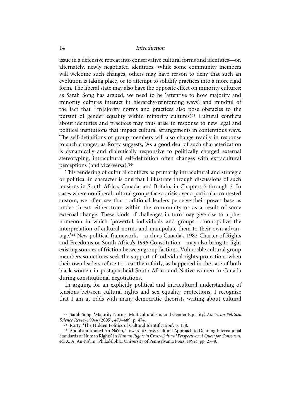issue in a defensive retreat into conservative cultural forms and identities—or, alternately, newly negotiated identities. While some community members will welcome such changes, others may have reason to deny that such an evolution is taking place, or to attempt to solidify practices into a more rigid form. The liberal state may also have the opposite effect on minority cultures: as Sarah Song has argued, we need to be 'attentive to how majority and minority cultures interact in hierarchy-reinforcing ways', and mindful of the fact that '[m]ajority norms and practices also pose obstacles to the pursuit of gender equality within minority cultures'.<sup>32</sup> Cultural conflicts about identities and practices may thus arise in response to new legal and political institutions that impact cultural arrangements in contentious ways. The self-definitions of group members will also change readily in response to such changes; as Rorty suggests, 'As a good deal of such characterization is dynamically and dialectically responsive to politically charged external stereotyping, intracultural self-definition often changes with extracultural perceptions (and vice-versa).'33

This rendering of cultural conflicts as primarily intracultural and strategic or political in character is one that I illustrate through discussions of such tensions in South Africa, Canada, and Britain, in Chapters 5 through 7. In cases where nonliberal cultural groups face a crisis over a particular contested custom, we often see that traditional leaders perceive their power base as under threat, either from within the community or as a result of some external change. These kinds of challenges in turn may give rise to a phenomenon in which 'powerful individuals and groups...monopolize the interpretation of cultural norms and manipulate them to their own advantage.'34 New political frameworks—such as Canada's 1982 Charter of Rights and Freedoms or South Africa's 1996 Constitution—may also bring to light existing sources of friction between group factions. Vulnerable cultural group members sometimes seek the support of individual rights protections when their own leaders refuse to treat them fairly, as happened in the case of both black women in postapartheid South Africa and Native women in Canada during constitutional negotiations.

In arguing for an explicitly political and intracultural understanding of tensions between cultural rights and sex equality protections, I recognize that I am at odds with many democratic theorists writing about cultural

<sup>32</sup> Sarah Song, 'Majority Norms, Multiculturalism, and Gender Equality', American Political Science Review, 99/4 (2005), 473–489, p. 474.

<sup>&</sup>lt;sup>33</sup> Rorty, 'The Hidden Politics of Cultural Identification', p. 158.

<sup>34</sup> Abdullahi Ahmed An-Na'im, 'Toward a Cross-Cultural Approach to Defining International Standards of Human Rights', in Human Rights in Cross-Cultural Perspectives: A Quest for Consensus, ed. A. A. An-Na'im (Philadelphia: University of Pennsylvania Press, 1992), pp. 27–8.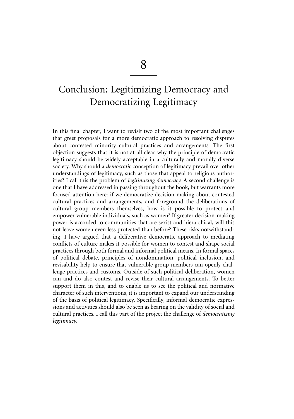# Conclusion: Legitimizing Democracy and Democratizing Legitimacy

In this final chapter, I want to revisit two of the most important challenges that greet proposals for a more democratic approach to resolving disputes about contested minority cultural practices and arrangements. The first objection suggests that it is not at all clear why the principle of democratic legitimacy should be widely acceptable in a culturally and morally diverse society. Why should a *democratic* conception of legitimacy prevail over other understandings of legitimacy, such as those that appeal to religious authorities? I call this the problem of legitimizing democracy. A second challenge is one that I have addressed in passing throughout the book, but warrants more focused attention here: if we democratize decision-making about contested cultural practices and arrangements, and foreground the deliberations of cultural group members themselves, how is it possible to protect and empower vulnerable individuals, such as women? If greater decision-making power is accorded to communities that are sexist and hierarchical, will this not leave women even less protected than before? These risks notwithstanding, I have argued that a deliberative democratic approach to mediating conflicts of culture makes it possible for women to contest and shape social practices through both formal and informal political means. In formal spaces of political debate, principles of nondomination, political inclusion, and revisability help to ensure that vulnerable group members can openly challenge practices and customs. Outside of such political deliberation, women can and do also contest and revise their cultural arrangements. To better support them in this, and to enable us to see the political and normative character of such interventions, it is important to expand our understanding of the basis of political legitimacy. Specifically, informal democratic expressions and activities should also be seen as bearing on the validity of social and cultural practices. I call this part of the project the challenge of democratizing legitimacy.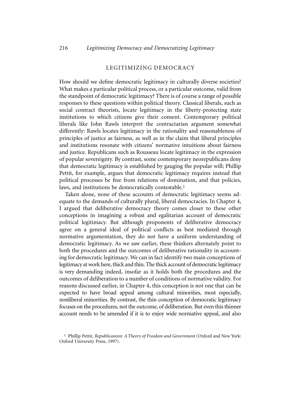### LEGITIMIZING DEMOCRACY

How should we define democratic legitimacy in culturally diverse societies? What makes a particular political process, or a particular outcome, valid from the standpoint of democratic legitimacy? There is of course a range of possible responses to these questions within political theory. Classical liberals, such as social contract theorists, locate legitimacy in the liberty-protecting state institutions to which citizens give their consent. Contemporary political liberals like John Rawls interpret the contractarian argument somewhat differently: Rawls locates legitimacy in the rationality and reasonableness of principles of justice as fairness, as well as in the claim that liberal principles and institutions resonate with citizens' normative intuitions about fairness and justice. Republicans such as Rousseau locate legitimacy in the expression of popular sovereignty. By contrast, some contemporary neorepublicans deny that democratic legitimacy is established by gauging the popular will; Phillip Pettit, for example, argues that democratic legitimacy requires instead that political processes be free from relations of domination, and that policies, laws, and institutions be democratically contestable.1

Taken alone, none of these accounts of democratic legitimacy seems adequate to the demands of culturally plural, liberal democracies. In Chapter 4, I argued that deliberative democracy theory comes closer to these other conceptions in imagining a robust and egalitarian account of democratic political legitimacy. But although proponents of deliberative democracy agree on a general ideal of political conflicts as best mediated through normative argumentation, they do not have a uniform understanding of democratic legitimacy. As we saw earlier, these thinkers alternately point to both the procedures and the outcomes of deliberative rationality in accounting for democratic legitimacy. We can in fact identify two main conceptions of legitimacy at work here, thick and thin. The thick account of democratic legitimacy is very demanding indeed, insofar as it holds both the procedures and the outcomes of deliberation to a number of conditions of normative validity. For reasons discussed earlier, in Chapter 4, this conception is not one that can be expected to have broad appeal among cultural minorities, most especially, nonliberal minorities. By contrast, the thin conception of democratic legitimacy focuses on the procedures, not the outcome, of deliberation. But even this thinner account needs to be amended if it is to enjoy wide normative appeal, and also

<sup>&</sup>lt;sup>1</sup> Phillip Pettit, Republicanism: A Theory of Freedom and Government (Oxford and New York: Oxford University Press, 1997).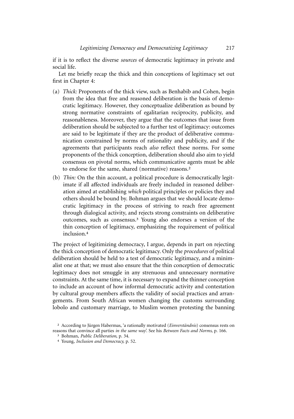if it is to reflect the diverse *sources* of democratic legitimacy in private and social life.

Let me briefly recap the thick and thin conceptions of legitimacy set out first in Chapter 4:

- (a) Thick: Proponents of the thick view, such as Benhabib and Cohen, begin from the idea that free and reasoned deliberation is the basis of democratic legitimacy. However, they conceptualize deliberation as bound by strong normative constraints of egalitarian reciprocity, publicity, and reasonableness. Moreover, they argue that the outcomes that issue from deliberation should be subjected to a further test of legitimacy: outcomes are said to be legitimate if they are the product of deliberative communication constrained by norms of rationality and publicity, and if the agreements that participants reach *also* reflect these norms. For some proponents of the thick conception, deliberation should also aim to yield consensus on pivotal norms, which communicative agents must be able to endorse for the same, shared (normative) reasons.2
- (b) Thin: On the thin account, a political procedure is democratically legitimate if all affected individuals are freely included in reasoned deliberation aimed at establishing which political principles or policies they and others should be bound by. Bohman argues that we should locate democratic legitimacy in the process of striving to reach free agreement through dialogical activity, and rejects strong constraints on deliberative outcomes, such as consensus.3 Young also endorses a version of the thin conception of legitimacy, emphasizing the requirement of political inclusion 4

The project of legitimizing democracy, I argue, depends in part on rejecting the thick conception of democratic legitimacy. Only the procedures of political deliberation should be held to a test of democratic legitimacy, and a minimalist one at that; we must also ensure that the thin conception of democratic legitimacy does not smuggle in any strenuous and unnecessary normative constraints. At the same time, it is necessary to expand the thinner conception to include an account of how informal democratic activity and contestation by cultural group members affects the validity of social practices and arrangements. From South African women changing the customs surrounding lobolo and customary marriage, to Muslim women protesting the banning

<sup>&</sup>lt;sup>2</sup> According to Jürgen Habermas, 'a rationally motivated (*Einverständnis*) consensus rests on reasons that convince all parties in the same way'. See his Between Facts and Norms, p. 166.

<sup>3</sup> Bohman, Public Deliberation, p. 34.

<sup>4</sup> Young, Inclusion and Democracy, p. 52.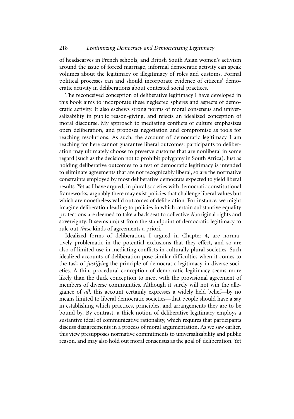# 218 Legitimizing Democracy and Democratizing Legitimacy

of headscarves in French schools, and British South Asian women's activism around the issue of forced marriage, informal democratic activity can speak volumes about the legitimacy or illegitimacy of roles and customs. Formal political processes can and should incorporate evidence of citizens' democratic activity in deliberations about contested social practices.

The reconceived conception of deliberative legitimacy I have developed in this book aims to incorporate these neglected spheres and aspects of democratic activity. It also eschews strong norms of moral consensus and universalizability in public reason-giving, and rejects an idealized conception of moral discourse. My approach to mediating conflicts of culture emphasizes open deliberation, and proposes negotiation and compromise as tools for reaching resolutions. As such, the account of democratic legitimacy I am reaching for here cannot guarantee liberal outcomes: participants to deliberation may ultimately choose to preserve customs that are nonliberal in some regard (such as the decision not to prohibit polygamy in South Africa). Just as holding deliberative outcomes to a test of democratic legitimacy is intended to eliminate agreements that are not recognizably liberal, so are the normative constraints employed by most deliberative democrats expected to yield liberal results. Yet as I have argued, in plural societies with democratic constitutional frameworks, arguably there may exist policies that challenge liberal values but which are nonetheless valid outcomes of deliberation. For instance, we might imagine deliberation leading to policies in which certain substantive equality protections are deemed to take a back seat to collective Aboriginal rights and sovereignty. It seems unjust from the standpoint of democratic legitimacy to rule out these kinds of agreements a priori.

Idealized forms of deliberation, I argued in Chapter 4, are normatively problematic in the potential exclusions that they effect, and so are also of limited use in mediating conflicts in culturally plural societies. Such idealized accounts of deliberation pose similar difficulties when it comes to the task of justifying the principle of democratic legitimacy in diverse societies. A thin, procedural conception of democratic legitimacy seems more likely than the thick conception to meet with the provisional agreement of members of diverse communities. Although it surely will not win the allegiance of all, this account certainly expresses a widely held belief—by no means limited to liberal democratic societies—that people should have a say in establishing which practices, principles, and arrangements they are to be bound by. By contrast, a thick notion of deliberative legitimacy employs a sustantive ideal of communicative rationality, which requires that participants discuss disagreements in a process of moral argumentation. As we saw earlier, this view presupposes normative commitments to universalizability and public reason, and may also hold out moral consensus as the goal of deliberation. Yet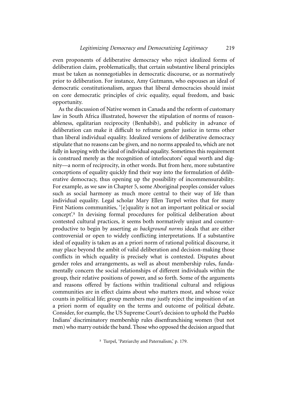even proponents of deliberative democracy who reject idealized forms of deliberation claim, problematically, that certain substantive liberal principles must be taken as nonnegotiables in democratic discourse, or as normatively prior to deliberation. For instance, Amy Gutmann, who espouses an ideal of democratic constitutionalism, argues that liberal democracies should insist on core democratic principles of civic equality, equal freedom, and basic opportunity.

As the discussion of Native women in Canada and the reform of customary law in South Africa illustrated, however the stipulation of norms of reasonableness, egalitarian reciprocity (Benhabib), and publicity in advance of deliberation can make it difficult to reframe gender justice in terms other than liberal individual equality. Idealized versions of deliberative democracy stipulate that no reasons can be given, and no norms appealed to, which are not fully in keeping with the ideal of individual equality. Sometimes this requirement is construed merely as the recognition of interlocutors' equal worth and dignity—a norm of reciprocity, in other words. But from here, more substantive conceptions of equality quickly find their way into the formulation of deliberative democracy, thus opening up the possibility of incommensurability. For example, as we saw in Chapter 5, some Aboriginal peoples consider values such as social harmony as much more central to their way of life than individual equality. Legal scholar Mary Ellen Turpel writes that for many First Nations communities, '[e]quality is not an important political or social concept'.5 In devising formal procedures for political deliberation about contested cultural practices, it seems both normatively unjust and counterproductive to begin by asserting as background norms ideals that are either controversial or open to widely conflicting interpretations. If a substantive ideal of equality is taken as an a priori norm of rational political discourse, it may place beyond the ambit of valid deliberation and decision-making those conflicts in which equality is precisely what is contested. Disputes about gender roles and arrangements, as well as about membership rules, fundamentally concern the social relationships of different individuals within the group, their relative positions of power, and so forth. Some of the arguments and reasons offered by factions within traditional cultural and religious communities are in effect claims about who matters most, and whose voice counts in political life; group members may justly reject the imposition of an a priori norm of equality on the terms and outcome of political debate. Consider, for example, the US Supreme Court's decision to uphold the Pueblo Indians' discriminatory membership rules disenfranchising women (but not men) who marry outside the band. Those who opposed the decision argued that

5 Turpel, 'Patriarchy and Paternalism,' p. 179.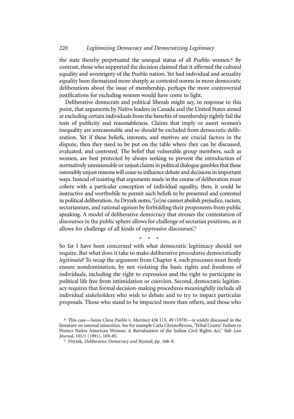#### 220 Legitimizing Democracy and Democratizing Legitimacy

the state thereby perpetuated the unequal status of all Pueblo women.6 By contrast, those who supported the decision claimed that it affirmed the cultural equality and sovereignty of the Pueblo nation. Yet had individual and sexuality equality been thematized more sharply as contested norms in more democratic deliberations about the issue of membership, perhaps the more controversial justifications for excluding women would have come to light.

Deliberative democrats and political liberals might say, in response to this point, that arguments by Native leaders in Canada and the United States aimed at excluding certain individuals from the benefits of membership rightly fail the tests of publicity and reasonableness. Claims that imply or assert women's inequality are unreasonable and so should be excluded from democratic deliberation. Yet if these beliefs, interests, and motives are crucial factors in the dispute, then they need to be put on the table where they can be discussed, evaluated, and contested. The belief that vulnerable group members, such as women, are best protected by always seeking to prevent the introduction of normatively unreasonable or unjust claims in political dialogue gambles that these ostensibly unjust reasons will cease to influence debate and decisions in important ways. Instead of insisting that arguments made in the course of deliberation must cohere with a particular conception of individual equality, then, it could be instructive and worthwhile to permit such beliefs to be presented and contested in political deliberation. As Dryzek notes, '[o]ne cannot abolish prejudice, racism, sectarianism, and rational egoism by forbidding their proponents from public speaking. A model of deliberative democracy that stresses the contestation of discourses in the public sphere allows for challenge of sectarian positions, as it allows for challenge of all kinds of oppressive discourses'.7

\*\*\*

So far I have been concerned with what democratic legitimacy should not require. But what does it take to make deliberative procedures democratically legitimate? To recap the argument from Chapter 4, such processes must firstly ensure nondomination, by not violating the basic rights and freedoms of individuals, including the right to expression and the right to participate in political life free from intimidation or coercion. Second, democratic legitimacy requires that formal decision-making procedures meaningfully include all individual stakeholders who wish to debate and to try to impact particular proposals. Those who stand to be impacted more than others, and those who

<sup>6</sup> This case—Santa Clara Pueblo v. Martinez 436 U.S. 49 (1978)—is widely discussed in the literature on internal minorities. See for example Carla Christofferson, 'Tribal Courts' Failure to Protect Native American Women: A Reevaluation of the Indian Civil Rights Act,' Yale Law Journal, 101/1 (1991), 169–85.

<sup>7</sup> Dryzek, Deliberative Democracy and Beyond, pp. 168–9.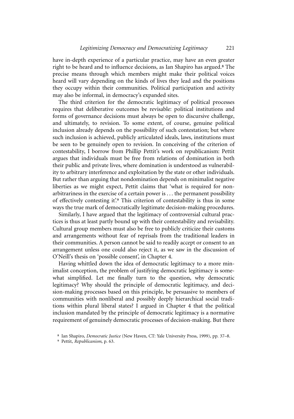have in-depth experience of a particular practice, may have an even greater right to be heard and to influence decisions, as Ian Shapiro has argued.<sup>8</sup> The precise means through which members might make their political voices heard will vary depending on the kinds of lives they lead and the positions they occupy within their communities. Political participation and activity may also be informal, in democracy's expanded sites.

The third criterion for the democratic legitimacy of political processes requires that deliberative outcomes be revisable: political institutions and forms of governance decisions must always be open to discursive challenge, and ultimately, to revision. To some extent, of course, genuine political inclusion already depends on the possibility of such contestation; but where such inclusion is achieved, publicly articulated ideals, laws, institutions must be seen to be genuinely open to revision. In conceiving of the criterion of contestability, I borrow from Phillip Pettit's work on republicanism: Pettit argues that individuals must be free from relations of domination in both their public and private lives, where domination is understood as vulnerability to arbitrary interference and exploitation by the state or other individuals. But rather than arguing that nondomination depends on minimalist negative liberties as we might expect, Pettit claims that 'what is required for nonarbitrariness in the exercise of a certain power is . . . the permanent possibility of effectively contesting it'.<sup>9</sup> This criterion of contestability is thus in some ways the true mark of democratically legitimate decision-making procedures.

Similarly, I have argued that the legitimacy of controversial cultural practices is thus at least partly bound up with their contestability and revisability. Cultural group members must also be free to publicly criticize their customs and arrangements without fear of reprisals from the traditional leaders in their communities. A person cannot be said to readily accept or consent to an arrangement unless one could also reject it, as we saw in the discussion of O'Neill's thesis on 'possible consent', in Chapter 4.

Having whittled down the idea of democratic legitimacy to a more minimalist conception, the problem of justifying democratic legitimacy is somewhat simplified. Let me finally turn to the question, why democratic legitimacy? Why should the principle of democratic legitimacy, and decision-making processes based on this principle, be persuasive to members of communities with nonliberal and possibly deeply hierarchical social traditions within plural liberal states? I argued in Chapter 4 that the political inclusion mandated by the principle of democratic legitimacy is a normative requirement of genuinely democratic processes of decision-making. But there

<sup>8</sup> Ian Shapiro, Democratic Justice (New Haven, CT: Yale University Press, 1999), pp. 37–8.

<sup>9</sup> Pettit, Republicanism, p. 63.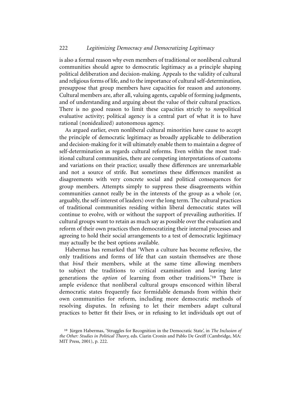# 222 Legitimizing Democracy and Democratizing Legitimacy

is also a formal reason why even members of traditional or nonliberal cultural communities should agree to democratic legitimacy as a principle shaping political deliberation and decision-making. Appeals to the validity of cultural and religious forms of life, and to the importance of cultural self-determination, presuppose that group members have capacities for reason and autonomy. Cultural members are, after all, valuing agents, capable of forming judgments, and of understanding and arguing about the value of their cultural practices. There is no good reason to limit these capacities strictly to nonpolitical evaluative activity; political agency is a central part of what it is to have rational (nonidealized) autonomous agency.

As argued earlier, even nonliberal cultural minorities have cause to accept the principle of democratic legitimacy as broadly applicable to deliberation and decision-making for it will ultimately enable them to maintain a degree of self-determination as regards cultural reforms. Even within the most traditional cultural communities, there are competing interpretations of customs and variations on their practice; usually these differences are unremarkable and not a source of strife. But sometimes these differences manifest as disagreements with very concrete social and political consequences for group members. Attempts simply to suppress these disagreements within communities cannot really be in the interests of the group as a whole (or, arguably, the self-interest of leaders) over the long term. The cultural practices of traditional communities residing within liberal democratic states will continue to evolve, with or without the support of prevailing authorities. If cultural groups want to retain as much say as possible over the evaluation and reform of their own practices then democratizing their internal processes and agreeing to hold their social arrangements to a test of democratic legitimacy may actually be the best options available.

Habermas has remarked that 'When a culture has become reflexive, the only traditions and forms of life that can sustain themselves are those that bind their members, while at the same time allowing members to subject the traditions to critical examination and leaving later generations the option of learning from other traditions.'10 There is ample evidence that nonliberal cultural groups ensconced within liberal democratic states frequently face formidable demands from within their own communities for reform, including more democratic methods of resolving disputes. In refusing to let their members adapt cultural practices to better fit their lives, or in refusing to let individuals opt out of

<sup>&</sup>lt;sup>10</sup> Jürgen Habermas, 'Struggles for Recognition in the Democratic State', in The Inclusion of the Other: Studies in Political Theory, eds. Ciarin Cronin and Pablo De Greiff (Cambridge, MA: MIT Press, 2001), p. 222.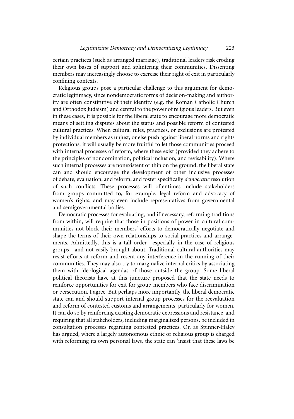certain practices (such as arranged marriage), traditional leaders risk eroding their own bases of support and splintering their communities. Dissenting members may increasingly choose to exercise their right of exit in particularly confining contexts.

Religious groups pose a particular challenge to this argument for democratic legitimacy, since nondemocratic forms of decision-making and authority are often constitutive of their identity (e.g. the Roman Catholic Church and Orthodox Judaism) and central to the power of religious leaders. But even in these cases, it is possible for the liberal state to encourage more democratic means of settling disputes about the status and possible reform of contested cultural practices. When cultural rules, practices, or exclusions are protested by individual members as unjust, or else push against liberal norms and rights protections, it will usually be more fruitful to let those communities proceed with internal processes of reform, where these exist (provided they adhere to the principles of nondomination, political inclusion, and revisability). Where such internal processes are nonexistent or thin on the ground, the liberal state can and should encourage the development of other inclusive processes of debate, evaluation, and reform, and foster specifically democratic resolution of such conflicts. These processes will oftentimes include stakeholders from groups committed to, for example, legal reform and advocacy of women's rights, and may even include representatives from governmental and semigovernmental bodies.

Democratic processes for evaluating, and if necessary, reforming traditions from within, will require that those in positions of power in cultural communities not block their members' efforts to democratically negotiate and shape the terms of their own relationships to social practices and arrangements. Admittedly, this is a tall order—especially in the case of religious groups—and not easily brought about. Traditional cultural authorities may resist efforts at reform and resent any interference in the running of their communities. They may also try to marginalize internal critics by associating them with ideological agendas of those outside the group. Some liberal political theorists have at this juncture proposed that the state needs to reinforce opportunities for exit for group members who face discrimination or persecution. I agree. But perhaps more importantly, the liberal democratic state can and should support internal group processes for the reevaluation and reform of contested customs and arrangements, particularly for women. It can do so by reinforcing existing democratic expressions and resistance, and requiring that all stakeholders, including marginalized persons, be included in consultation processes regarding contested practices. Or, as Spinner-Halev has argued, where a largely autonomous ethnic or religious group is charged with reforming its own personal laws, the state can 'insist that these laws be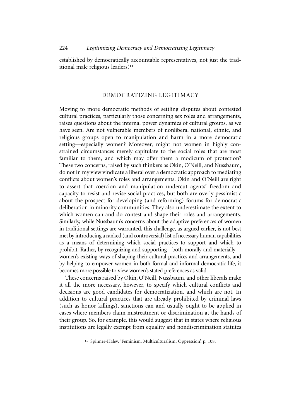established by democratically accountable representatives, not just the traditional male religious leaders'.11

#### DEMOCRATIZING LEGITIMACY

Moving to more democratic methods of settling disputes about contested cultural practices, particularly those concerning sex roles and arrangements, raises questions about the internal power dynamics of cultural groups, as we have seen. Are not vulnerable members of nonliberal national, ethnic, and religious groups open to manipulation and harm in a more democratic setting—especially women? Moreover, might not women in highly constrained circumstances merely capitulate to the social roles that are most familiar to them, and which may offer them a modicum of protection? These two concerns, raised by such thinkers as Okin, O'Neill, and Nussbaum, do not in my view vindicate a liberal over a democratic approach to mediating conflicts about women's roles and arrangements. Okin and O'Neill are right to assert that coercion and manipulation undercut agents' freedom and capacity to resist and revise social practices, but both are overly pessimistic about the prospect for developing (and reforming) forums for democratic deliberation in minority communities. They also underestimate the extent to which women can and do contest and shape their roles and arrangements. Similarly, while Nussbaum's concerns about the adaptive preferences of women in traditional settings are warranted, this challenge, as argued earlier, is not best met by introducing a ranked (and controversial) list of necessary human capabilities as a means of determining which social practices to support and which to prohibit. Rather, by recognizing and supporting—both morally and materially women's existing ways of shaping their cultural practices and arrangements, and by helping to empower women in both formal and informal democratic life, it becomes more possible to view women's stated preferences as valid.

These concerns raised by Okin, O'Neill, Nussbaum, and other liberals make it all the more necessary, however, to specify which cultural conflicts and decisions are good candidates for democratization, and which are not. In addition to cultural practices that are already prohibited by criminal laws (such as honor killings), sanctions can and usually ought to be applied in cases where members claim mistreatment or discrimination at the hands of their group. So, for example, this would suggest that in states where religious institutions are legally exempt from equality and nondiscrimination statutes

<sup>11</sup> Spinner-Halev, 'Feminism, Multiculturalism, Oppression', p. 108.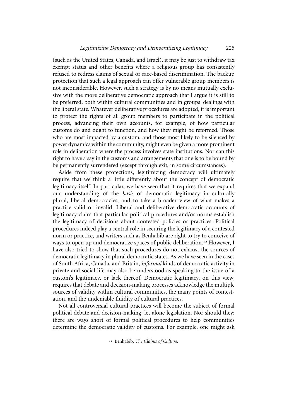(such as the United States, Canada, and Israel), it may be just to withdraw tax exempt status and other benefits where a religious group has consistently refused to redress claims of sexual or race-based discrimination. The backup protection that such a legal approach can offer vulnerable group members is not inconsiderable. However, such a strategy is by no means mutually exclusive with the more deliberative democratic approach that I argue it is still to be preferred, both within cultural communities and in groups' dealings with the liberal state. Whatever deliberative procedures are adopted, it is important to protect the rights of all group members to participate in the political process, advancing their own accounts, for example, of how particular customs do and ought to function, and how they might be reformed. Those who are most impacted by a custom, and those most likely to be silenced by power dynamics within the community, might even be given a more prominent role in deliberation where the process involves state institutions. Nor can this right to have a say in the customs and arrangements that one is to be bound by be permanently surrendered (except through exit, in some circumstances).

Aside from these protections, legitimizing democracy will ultimately require that we think a little differently about the concept of democratic legitimacy itself. In particular, we have seen that it requires that we expand our understanding of the basis of democratic legitimacy in culturally plural, liberal democracies, and to take a broader view of what makes a practice valid or invalid. Liberal and deliberative democratic accounts of legitimacy claim that particular political procedures and/or norms establish the legitimacy of decisions about contested policies or practices. Political procedures indeed play a central role in securing the legitimacy of a contested norm or practice, and writers such as Benhabib are right to try to conceive of ways to open up and democratize spaces of public deliberation.12 However, I have also tried to show that such procedures do not exhaust the sources of democratic legitimacy in plural democratic states. As we have seen in the cases of South Africa, Canada, and Britain, informal kinds of democratic activity in private and social life may also be understood as speaking to the issue of a custom's legitimacy, or lack thereof. Democratic legitimacy, on this view, requires that debate and decision-making processes acknowledge the multiple sources of validity within cultural communities, the many points of contestation, and the undeniable fluidity of cultural practices.

Not all controversial cultural practices will become the subject of formal political debate and decision-making, let alone legislation. Nor should they: there are ways short of formal political procedures to help communities determine the democratic validity of customs. For example, one might ask

12 Benhabib, The Claims of Culture.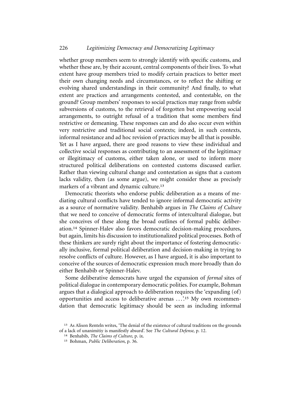#### 226 Legitimizing Democracy and Democratizing Legitimacy

whether group members seem to strongly identify with specific customs, and whether these are, by their account, central components of their lives. To what extent have group members tried to modify certain practices to better meet their own changing needs and circumstances, or to reflect the shifting or evolving shared understandings in their community? And finally, to what extent are practices and arrangements contested, and contestable, on the ground? Group members' responses to social practices may range from subtle subversions of customs, to the retrieval of forgotten but empowering social arrangements, to outright refusal of a tradition that some members find restrictive or demeaning. These responses can and do also occur even within very restrictive and traditional social contexts; indeed, in such contexts, informal resistance and ad hoc revision of practices may be all that is possible. Yet as I have argued, there are good reasons to view these individual and collective social responses as contributing to an assessment of the legitimacy or illegitimacy of customs, either taken alone, or used to inform more structured political deliberations on contested customs discussed earlier. Rather than viewing cultural change and contestation as signs that a custom lacks validity, then (as some argue), we might consider these as precisely markers of a vibrant and dynamic culture.13

Democratic theorists who endorse public deliberation as a means of mediating cultural conflicts have tended to ignore informal democratic activity as a source of normative validity. Benhabib argues in The Claims of Culture that we need to conceive of democratic forms of intercultural dialogue, but she conceives of these along the broad outlines of formal public deliberation.14 Spinner-Halev also favors democratic decision-making procedures, but again, limits his discussion to institutionalized political processes. Both of these thinkers are surely right about the importance of fostering democratically inclusive, formal political deliberation and decision-making in trying to resolve conflicts of culture. However, as I have argued, it is also important to conceive of the sources of democratic expression much more broadly than do either Benhabib or Spinner-Halev.

Some deliberative democrats have urged the expansion of formal sites of political dialogue in contemporary democratic polities. For example, Bohman argues that a dialogical approach to deliberation requires the 'expanding (of) opportunities and access to deliberative arenas . . .'.15 My own recommendation that democratic legitimacy should be seen as including informal

<sup>13</sup> As Alison Renteln writes, 'The denial of the existence of cultural traditions on the grounds of a lack of unanimitiy is manifestly absurd'. See The Cultural Defense, p. 12.

<sup>&</sup>lt;sup>14</sup> Benhabib, *The Claims of Culture*, p. ix.

<sup>15</sup> Bohman, Public Deliberation, p. 36.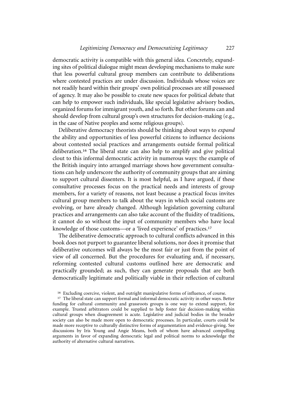democratic activity is compatible with this general idea. Concretely, expanding sites of political dialogue might mean developing mechanisms to make sure that less powerful cultural group members can contribute to deliberations where contested practices are under discussion. Individuals whose voices are not readily heard within their groups' own political processes are still possessed of agency. It may also be possible to create new spaces for political debate that can help to empower such individuals, like special legislative advisory bodies, organized forums for immigrant youth, and so forth. But other forums can and should develop from cultural group's own structures for decision-making (e.g., in the case of Native peoples and some religious groups).

Deliberative democracy theorists should be thinking about ways to expand the ability and opportunities of less powerful citizens to influence decisions about contested social practices and arrangements outside formal political deliberation.16 The liberal state can also help to amplify and give political clout to this informal democratic activity in numerous ways: the example of the British inquiry into arranged marriage shows how government consultations can help underscore the authority of community groups that are aiming to support cultural dissenters. It is most helpful, as I have argued, if these consultative processes focus on the practical needs and interests of group members, for a variety of reasons, not least because a practical focus invites cultural group members to talk about the ways in which social customs are evolving, or have already changed. Although legislation governing cultural practices and arrangements can also take account of the fluidity of traditions, it cannot do so without the input of community members who have local knowledge of those customs—or a 'lived experience' of practices.17

The deliberative democratic approach to cultural conflicts advanced in this book does not purport to guarantee liberal solutions, nor does it promise that deliberative outcomes will always be the most fair or just from the point of view of all concerned. But the procedures for evaluating and, if necessary, reforming contested cultural customs outlined here are democratic and practically grounded; as such, they can generate proposals that are both democratically legitimate and politically viable in their reflection of cultural

<sup>&</sup>lt;sup>16</sup> Excluding coercive, violent, and outright manipulative forms of influence, of course.

<sup>17</sup> The liberal state can support formal and informal democratic activity in other ways. Better funding for cultural community and grassroots groups is one way to extend support, for example. Trusted arbitrators could be supplied to help foster fair decision-making within cultural groups when disagreement is acute. Legislative and judicial bodies in the broader society can also be made more open to democratic processes. In particular, courts could be made more receptive to culturally distinctive forms of argumentation and evidence-giving. See discussions by Iris Young and Angie Means, both of whom have advanced compelling arguments in favor of expanding democratic legal and political norms to acknowledge the authority of alternative cultural narratives.